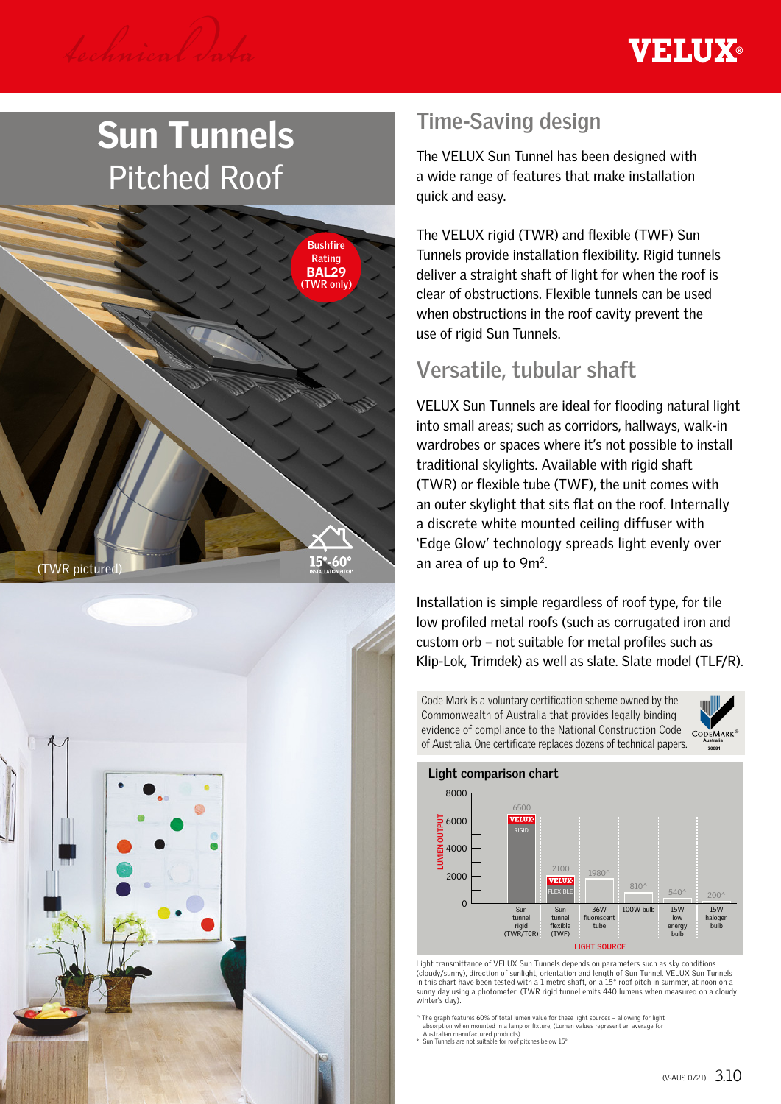

# Sun Tunnels Pitched Roof





# **Time-Saving design**

The VELUX Sun Tunnel has been designed with a wide range of features that make installation quick and easy.

The VELUX rigid (TWR) and flexible (TWF) Sun Tunnels provide installation flexibility. Rigid tunnels deliver a straight shaft of light for when the roof is clear of obstructions. Flexible tunnels can be used when obstructions in the roof cavity prevent the use of rigid Sun Tunnels.

# **Versatile, tubular shaft**

VELUX Sun Tunnels are ideal for flooding natural light into small areas; such as corridors, hallways, walk-in wardrobes or spaces where it's not possible to install traditional skylights. Available with rigid shaft (TWR) or flexible tube (TWF), the unit comes with an outer skylight that sits flat on the roof. Internally a discrete white mounted ceiling diffuser with 'Edge Glow' technology spreads light evenly over an area of up to 9m2.

Installation is simple regardless of roof type, for tile low profiled metal roofs (such as corrugated iron and custom orb – not suitable for metal profiles such as Klip-Lok, Trimdek) as well as slate. Slate model (TLF/R).

Code Mark is a voluntary certification scheme owned by the Commonwealth of Australia that provides legally binding evidence of compliance to the National Construction Code of Australia. One certificate replaces dozens of technical papers.



**30090**



Light transmittance of VELUX Sun Tunnels depends on parameters such as sky conditions (cloudy/sunny), direction of sunlight, orientation and length of Sun Tunnel. VELUX Sun Tunnels in this chart have been tested with a 1 metre shaft, on a 15° roof pitch in summer, at noon on a sunny day using a photometer. (TWR rigid tunnel emits 440 lumens when measured on a cloudy winter's day).

 $\land$  The graph features 60% of total lumen value for these light sources – allowing for light<br>absorption when mounted in a lamp or fixture, (Lumen values represent an average for<br>Australian manufactured products).<br>\* Sun T